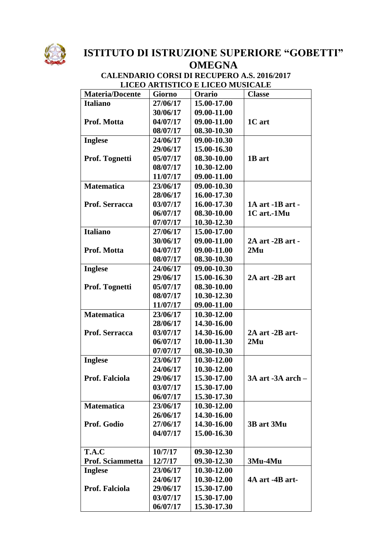

## **ISTITUTO DI ISTRUZIONE SUPERIORE "GOBETTI" OMEGNA**

**CALENDARIO CORSI DI RECUPERO A.S. 2016/2017 LICEO ARTISTICO E LICEO MUSICALE**

| <b>Materia/Docente</b> | <b>Giorno</b> | Orario      | <b>Classe</b>           |
|------------------------|---------------|-------------|-------------------------|
| <b>Italiano</b>        | 27/06/17      | 15.00-17.00 |                         |
|                        | 30/06/17      | 09.00-11.00 |                         |
| Prof. Motta            | 04/07/17      | 09.00-11.00 | 1C art                  |
|                        | 08/07/17      | 08.30-10.30 |                         |
| <b>Inglese</b>         | 24/06/17      | 09.00-10.30 |                         |
|                        | 29/06/17      | 15.00-16.30 |                         |
| Prof. Tognetti         | 05/07/17      | 08.30-10.00 | 1B art                  |
|                        | 08/07/17      | 10.30-12.00 |                         |
|                        | 11/07/17      | 09.00-11.00 |                         |
| <b>Matematica</b>      | 23/06/17      | 09.00-10.30 |                         |
|                        | 28/06/17      | 16.00-17.30 |                         |
| Prof. Serracca         | 03/07/17      | 16.00-17.30 | 1A art -1B art -        |
|                        | 06/07/17      | 08.30-10.00 | 1C art.-1Mu             |
|                        | 07/07/17      | 10.30-12.30 |                         |
| <b>Italiano</b>        | 27/06/17      | 15.00-17.00 |                         |
|                        | 30/06/17      | 09.00-11.00 | $2A$ art $-2B$ art $-$  |
| Prof. Motta            | 04/07/17      | 09.00-11.00 | 2Mu                     |
|                        | 08/07/17      | 08.30-10.30 |                         |
| <b>Inglese</b>         | 24/06/17      | 09.00-10.30 |                         |
|                        | 29/06/17      | 15.00-16.30 | 2A art -2B art          |
| Prof. Tognetti         | 05/07/17      | 08.30-10.00 |                         |
|                        | 08/07/17      | 10.30-12.30 |                         |
|                        | 11/07/17      | 09.00-11.00 |                         |
| <b>Matematica</b>      | 23/06/17      | 10.30-12.00 |                         |
|                        | 28/06/17      | 14.30-16.00 |                         |
| Prof. Serracca         | 03/07/17      | 14.30-16.00 | 2A art -2B art-         |
|                        | 06/07/17      | 10.00-11.30 | 2Mu                     |
|                        | 07/07/17      | 08.30-10.30 |                         |
| <b>Inglese</b>         | 23/06/17      | 10.30-12.00 |                         |
|                        | 24/06/17      | 10.30-12.00 |                         |
| Prof. Falciola         | 29/06/17      | 15.30-17.00 | $3A$ art $-3A$ arch $-$ |
|                        | 03/07/17      | 15.30-17.00 |                         |
|                        | 06/07/17      | 15.30-17.30 |                         |
| <b>Matematica</b>      | 23/06/17      | 10.30-12.00 |                         |
|                        | 26/06/17      | 14.30-16.00 |                         |
| Prof. Godio            | 27/06/17      | 14.30-16.00 | 3B art 3Mu              |
|                        | 04/07/17      | 15.00-16.30 |                         |
|                        |               |             |                         |
| T.A.C                  | 10/7/17       | 09.30-12.30 |                         |
| Prof. Sciammetta       | 12/7/17       | 09.30-12.30 | 3Mu-4Mu                 |
| <b>Inglese</b>         | 23/06/17      | 10.30-12.00 |                         |
|                        | 24/06/17      | 10.30-12.00 | 4A art -4B art-         |
| Prof. Falciola         | 29/06/17      | 15.30-17.00 |                         |
|                        | 03/07/17      | 15.30-17.00 |                         |
|                        | 06/07/17      | 15.30-17.30 |                         |
|                        |               |             |                         |